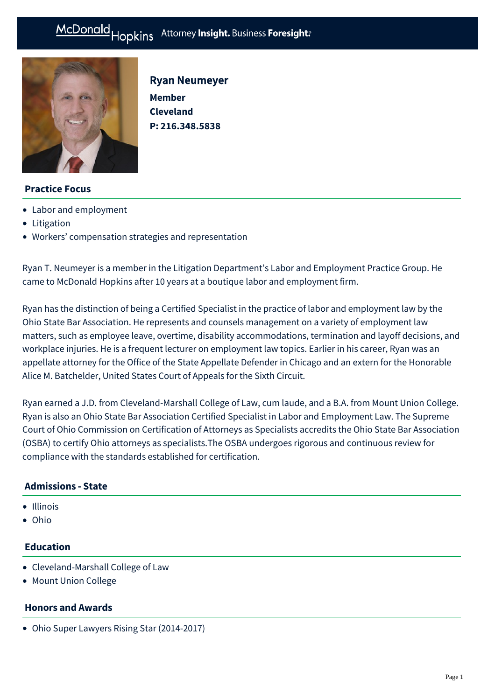# McDonald Hopkins Attorney Insight. Business Foresight:



Ryan Neumeyer **Member Cleveland** 

**P: [216.348.5838](tel:216.348.5838)**

# **Practice Focus**

- [Labor and employment](https://mcdonaldhopkins.com/Expertise/Labor-and-employment)
- [Litigation](https://mcdonaldhopkins.com/Expertise/Litigation)
- [Workers' compensation strategies and representation](https://mcdonaldhopkins.com/Expertise/Labor-and-employment/Workers-comp-strategies)

Ryan T. Neumeyer is a member in the Litigation Department's Labor and Employment Practice Group. He came to McDonald Hopkins after 10 years at a boutique labor and employment firm.

Ryan has the distinction of being a Certified Specialist in the practice of labor and employment law by the Ohio State Bar Association. He represents and counsels management on a variety of employment law matters, such as employee leave, overtime, disability accommodations, termination and layoff decisions, and workplace injuries. He is a frequent lecturer on employment law topics. Earlier in his career, Ryan was an appellate attorney for the Office of the State Appellate Defender in Chicago and an extern for the Honorable Alice M. Batchelder, United States Court of Appeals for the Sixth Circuit.

Ryan earned a J.D. from Cleveland-Marshall College of Law, cum laude, and a B.A. from Mount Union College. Ryan is also an Ohio State Bar Association Certified Specialist in Labor and Employment Law. The Supreme Court of Ohio Commission on Certification of Attorneys as Specialists accredits the Ohio State Bar Association (OSBA) to certify Ohio attorneys as specialists.The OSBA undergoes rigorous and continuous review for compliance with the standards established for certification.

# **Admissions - State**

- Illinois
- Ohio

# **Education**

- Cleveland-Marshall College of Law
- Mount Union College

# **Honors and Awards**

Ohio Super Lawyers Rising Star (2014-2017)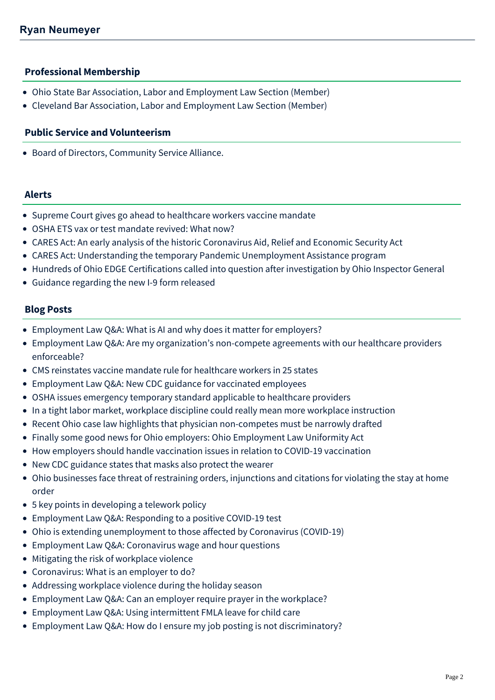# **Professional Membership**

- Ohio State Bar Association, Labor and Employment Law Section (Member)
- Cleveland Bar Association, Labor and Employment Law Section (Member)

### **Public Service and Volunteerism**

Board of Directors, Community Service Alliance.

#### **Alerts**

- [Supreme Court gives go ahead to healthcare workers vaccine mandate](https://mcdonaldhopkins.com/Insights/January-2022/Supreme-Court-healthcare-workers-vaccine-mandate)
- [OSHA ETS vax or test mandate revived: What now?](https://mcdonaldhopkins.com/Insights/December-2021/OSHA-ETS-mandate-revived)
- [CARES Act: An early analysis of the historic Coronavirus Aid, Relief and Economic Security Act](https://mcdonaldhopkins.com/Insights/March-2020/CARES-ACT-overview)
- [CARES Act: Understanding the temporary Pandemic Unemployment Assistance program](https://mcdonaldhopkins.com/Insights/March-2020/CARES-Act-Understanding-the-temporary-Pandemic-Une)
- [Hundreds of Ohio EDGE Certifications called into question after investigation by Ohio Inspector General](https://mcdonaldhopkins.com/Insights/February-2019/Hundreds-of-Ohio-EDGE-Certifications-called-into-q)
- [Guidance regarding the new I-9 form released](https://mcdonaldhopkins.com/Insights/March-2017/Guidance-regarding-the-new-I-9-form-released)

# **Blog Posts**

- [Employment Law Q&A: What is AI and why does it matter for employers?](https://mcdonaldhopkins.com/Insights/June-2022/Employment-Law-QA-artificial-intelligence)
- [Employment Law Q&A: Are my organization's non-compete agreements with our healthcare providers](https://mcdonaldhopkins.com/Insights/March-2022/Healthcare-noncompete-agreements-enforceability) enforceable?
- [CMS reinstates vaccine mandate rule for healthcare workers in 25 states](https://mcdonaldhopkins.com/Insights/January-2022/CMS-reinstates-vaccine-mandate-in-25-states)
- [Employment Law Q&A: New CDC guidance for vaccinated employees](https://mcdonaldhopkins.com/Insights/August-2021/Employment-Law-QA-New-CDC-Guidance-for-Vaccinated)
- [OSHA issues emergency temporary standard applicable to healthcare providers](https://mcdonaldhopkins.com/Insights/June-2021/OSHA-issues-emergency-temporary-standard-applicabl)
- [In a tight labor market, workplace discipline could really mean more workplace instruction](https://mcdonaldhopkins.com/Insights/May-2021/In-a-tight-labor-market-workplace-discipline-could)
- [Recent Ohio case law highlights that physician non-competes must be narrowly drafted](https://mcdonaldhopkins.com/Insights/February-2021/Recent-Ohio-case-law-highlights-that-physician-non)
- [Finally some good news for Ohio employers: Ohio Employment Law Uniformity Act](https://mcdonaldhopkins.com/Insights/January-2021/Finally-some-good-news-for-Ohio-employers-Ohio-Emp)
- [How employers should handle vaccination issues in relation to COVID-19 vaccination](https://mcdonaldhopkins.com/Insights/December-2020/How-employers-should-handle-vaccination-issues-in-)
- [New CDC guidance states that masks also protect the wearer](https://mcdonaldhopkins.com/Insights/November-2020/New-CDC-guidance-states-that-masks-also-protect-th)
- [Ohio businesses face threat of restraining orders, injunctions and citations for violating the stay at home](https://mcdonaldhopkins.com/Insights/April-2020/Ohio-businesses-face-threat-of-restraining-orders) order
- [5 key points in developing a telework policy](https://mcdonaldhopkins.com/Insights/March-2020/5-key-points-in-developing-a-telework-policy)
- [Employment Law Q&A: Responding to a positive COVID-19 test](https://mcdonaldhopkins.com/Insights/March-2020/Employment-Law-QA-Responding-to-a-positive-COVID19)
- [Ohio is extending unemployment to those affected by Coronavirus \(COVID-19\)](https://mcdonaldhopkins.com/Insights/March-2020/Ohio-is-extending-unemployment-to-those-affected-b)
- [Employment Law Q&A: Coronavirus wage and hour questions](https://mcdonaldhopkins.com/Insights/March-2020/Employment-Law-Q-A-Coronavirus-wage-and-hour-quest)
- [Mitigating the risk of workplace violence](https://mcdonaldhopkins.com/Insights/March-2020/Mitigating-the-risk-of-workplace-violence)
- [Coronavirus: What is an employer to do?](https://mcdonaldhopkins.com/Insights/January-2020/Coronavirus-What-is-an-employer-to-do)
- [Addressing workplace violence during the holiday season](https://mcdonaldhopkins.com/Insights/December-2019/Addressing-workplace-violence-during-the-holiday-s)
- [Employment Law Q&A: Can an employer require prayer in the workplace?](https://mcdonaldhopkins.com/Insights/October-2019/Employment-Law-QA-Can-an-employer-require-prayer)
- [Employment Law Q&A: Using intermittent FMLA leave for child care](https://mcdonaldhopkins.com/Insights/October-2019/Employment-Law-QA-Using-intermittent-FMLA-leave-fo)
- [Employment Law Q&A: How do I ensure my job posting is not discriminatory?](https://mcdonaldhopkins.com/Insights/September-2019/Employment-Law-QA-How-do-I-ensure-my-job-posting)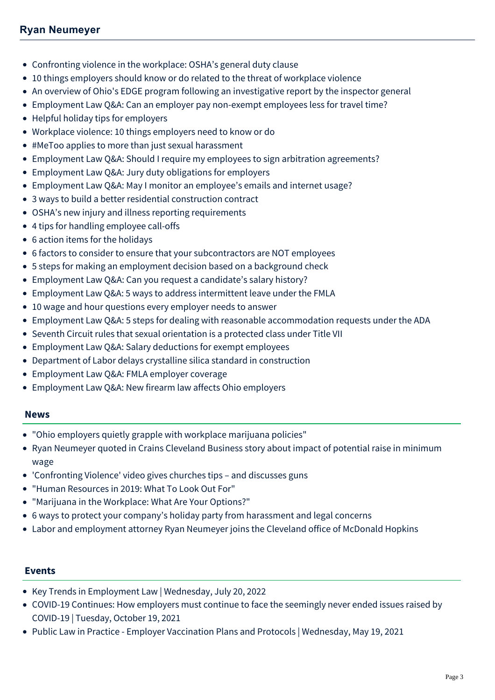# **Ryan Neumeyer**

- [Confronting violence in the workplace: OSHA's general duty clause](https://mcdonaldhopkins.com/Insights/April-2019/Confronting-violence-in-the-workplace-OSHAs-genera)
- [10 things employers should know or do related to the threat of workplace violence](https://mcdonaldhopkins.com/Insights/March-2019/10-things-employers-should-know-or-do-related-to-t)
- [An overview of Ohio's EDGE program following an investigative report by the inspector general](https://mcdonaldhopkins.com/Insights/February-2019/An-overview-of-the-Ohio-EDGE-Program)
- [Employment Law Q&A: Can an employer pay non-exempt employees less for travel time?](https://mcdonaldhopkins.com/Insights/January-2019/Employment-Law-QA-Can-an-employer-pay-non-exempt-e)
- [Helpful holiday tips for employers](https://mcdonaldhopkins.com/Insights/December-2018/Helpful-holiday-tips-for-employers)
- [Workplace violence: 10 things employers need to know or do](https://mcdonaldhopkins.com/Insights/November-2018/Workplace-Violence-10-Things-Employers-Need-to-Kno)
- [#MeToo applies to more than just sexual harassment](https://mcdonaldhopkins.com/Insights/July-2018/MeToo-applies-to-more-than-just-sexual-harrassment)
- [Employment Law Q&A: Should I require my employees to sign arbitration agreements?](https://mcdonaldhopkins.com/Insights/June-2018/Should-I-require-my-employees-to-sign-arbitration)
- [Employment Law Q&A: Jury duty obligations for employers](https://mcdonaldhopkins.com/Insights/May-2018/Employment-Law-QA-Jury-duty-obligations-for-emplo)
- [Employment Law Q&A: May I monitor an employee's emails and internet usage?](https://mcdonaldhopkins.com/Insights/April-2018/Employment-Law-QA-May-I-monitor-an-employees-email)
- [3 ways to build a better residential construction contract](https://mcdonaldhopkins.com/Insights/March-2018/3-ways-to-build-a-better-residential-construction)
- [OSHA's new injury and illness reporting requirements](https://mcdonaldhopkins.com/Insights/February-2018/OSHAs-new-injury-and-illness-reporting-requirement)
- [4 tips for handling employee call-offs](https://mcdonaldhopkins.com/Insights/January-2018/4-tips-for-handling-employee-call-offs)
- [6 action items for the holidays](https://mcdonaldhopkins.com/Insights/December-2017/6-action-items-for-the-holidays)
- [6 factors to consider to ensure that your subcontractors are NOT employees](https://mcdonaldhopkins.com/Insights/November-2017/6-factors-to-consider-to-ensure-that-your-subcontr)
- [5 steps for making an employment decision based on a background check](https://mcdonaldhopkins.com/Insights/November-2017/5-steps-for-making-an-employment-decision-based-on)
- [Employment Law Q&A: Can you request a candidate's salary history?](https://mcdonaldhopkins.com/Insights/November-2017/Employment-Law-QA-Can-you-request-a-candidates-sal)
- [Employment Law Q&A: 5 ways to address intermittent leave under the FMLA](https://mcdonaldhopkins.com/Insights/October-2017/Employment-Law-QA-5-ways-to-address-intermittent-l)
- [10 wage and hour questions every employer needs to answer](https://mcdonaldhopkins.com/Insights/July-2017/10-wage-questions-every-employer-needs-to-answer)
- [Employment Law Q&A: 5 steps for dealing with reasonable accommodation requests under the ADA](https://mcdonaldhopkins.com/Insights/July-2017/Employment-Law-QA-5-Steps-for-Dealing-with-Reasona)
- [Seventh Circuit rules that sexual orientation is a protected class under Title VII](https://mcdonaldhopkins.com/Insights/June-2017/Seventh-Circuit-rules-that-sexual-orientation-is-a)
- [Employment Law Q&A: Salary deductions for exempt employees](https://mcdonaldhopkins.com/Insights/May-2017/Employment-Law-Q-and-A-Salary-deductions-for-exemp)
- [Department of Labor delays crystalline silica standard in construction](https://mcdonaldhopkins.com/Insights/April-2017/Department-of-Labor-delays-crystalline-silica-stan)
- [Employment Law Q&A: FMLA employer coverage](https://mcdonaldhopkins.com/Insights/March-2017/Employment-Law-Q-and-A-FMLA-employer-coverage)
- [Employment Law Q&A: New firearm law affects Ohio employers](https://mcdonaldhopkins.com/Insights/February-2017/Employment-Law-QA-New-firearm-law-affects-Ohio-emp)

#### **News**

- ["Ohio employers quietly grapple with workplace marijuana policies"](https://mcdonaldhopkins.com/Insights/April-2021/Ohio-employers-quietly-grapple-with-workplace-mari)
- [Ryan Neumeyer quoted in Crains Cleveland Business story about impact of potential raise in minimum](https://mcdonaldhopkins.com/Insights/March-2021/Ryan-Neumeyer-quoted-in-Crains-Cleveland-Business) wage
- ['Confronting Violence' video gives churches tips and discusses guns](https://mcdonaldhopkins.com/Insights/February-2020/Confronting-Violence-video-gives-churches-tips-%E2%80%93-a)
- ["Human Resources in 2019: What To Look Out For"](https://mcdonaldhopkins.com/Insights/December-2018/Human-Resources-in-2019-What-To-Look-Out-For)
- ["Marijuana in the Workplace: What Are Your Options?"](https://mcdonaldhopkins.com/Insights/December-2018/Marijuana-in-the-Workplace-What-Are-Your-Options)
- [6 ways to protect your company's holiday party from harassment and legal concerns](https://mcdonaldhopkins.com/Insights/December-2017/6-ways-to-protect-your-companys-holiday-party-from)
- [Labor and employment attorney Ryan Neumeyer joins the Cleveland office of McDonald Hopkins](https://mcdonaldhopkins.com/Insights/February-2017/Labor-and-employment-attorney-Ryan-Neumeyer-joins)

#### **Events**

- [Key Trends in Employment Law | Wednesday, July 20, 2022](https://mcdonaldhopkins.com/Events/2022/Key-Trends-in-Employment-Law)
- [COVID-19 Continues: How employers must continue to face the seemingly never ended issues raised by](https://mcdonaldhopkins.com/Events/2021/COVID-19-Continues-How-employers-must-continue-to) COVID-19 | Tuesday, October 19, 2021
- [Public Law in Practice Employer Vaccination Plans and Protocols | Wednesday, May 19, 2021](https://mcdonaldhopkins.com/Events/2021/Public-Law-in-Practice-Employer-Vaccination-Plans)